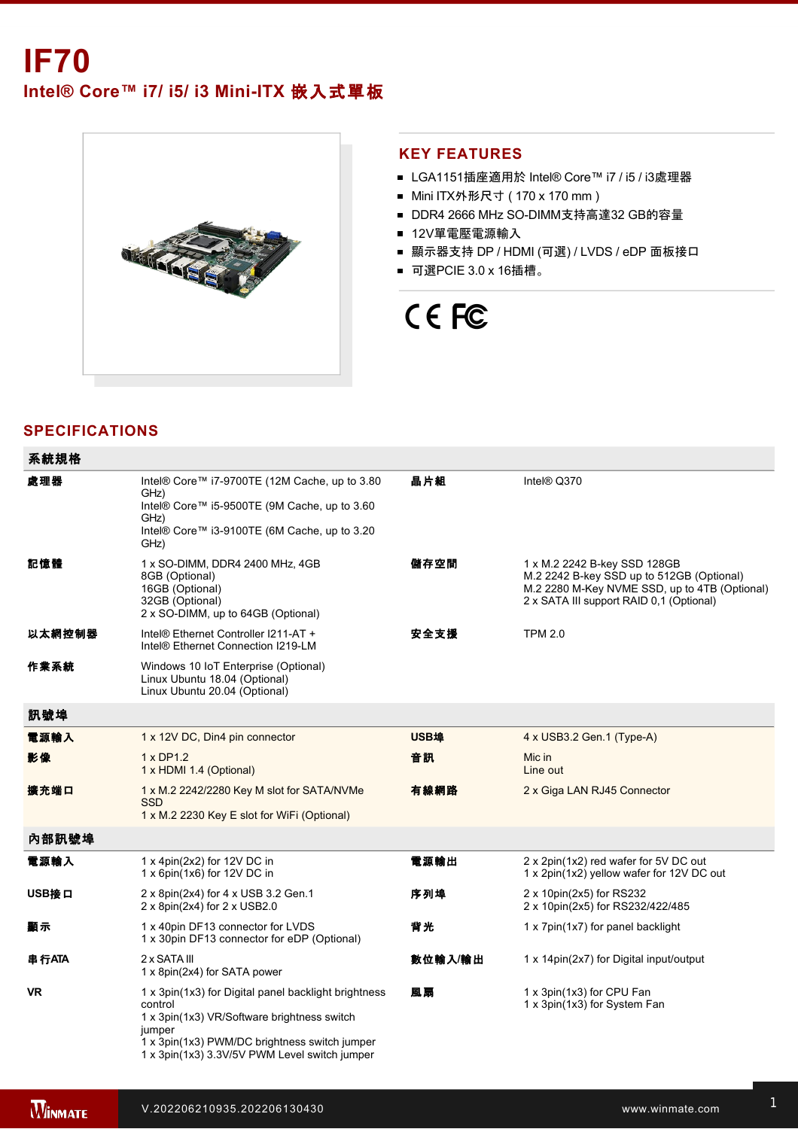Intel® Core™ i7/ i5/ i3 Mini-ITX 嵌入式單板



#### **KEY FEATURES**

- LGA1151插座適用於 Intel® Core™ i7 / i5 / i3處理器
- Mini ITX外形尺寸 (170 x 170 mm)
- DDR4 2666 MHz SO-DIMM支持高達32 GB的容量
- 12V單電壓電源輸入
- 顯示器支持 DP / HDMI (可選) / LVDS / eDP 面板接口
- 可選PCIE 3.0 x 16插槽。

# CE FC

## **SPECIFICATIONS**

| 系統規格      |                                                                                                                                                                                                                            |             |                                                                                                                                                                        |
|-----------|----------------------------------------------------------------------------------------------------------------------------------------------------------------------------------------------------------------------------|-------------|------------------------------------------------------------------------------------------------------------------------------------------------------------------------|
| 處理器       | Intel® Core™ i7-9700TE (12M Cache, up to 3.80<br>GHz)<br>Intel® Core™ i5-9500TE (9M Cache, up to 3.60<br>GHz)<br>Intel® Core™ i3-9100TE (6M Cache, up to 3.20<br>GHz)                                                      | 晶片組         | Intel® Q370                                                                                                                                                            |
| 記憶體       | 1 x SO-DIMM, DDR4 2400 MHz, 4GB<br>8GB (Optional)<br>16GB (Optional)<br>32GB (Optional)<br>2 x SO-DIMM, up to 64GB (Optional)                                                                                              | 儲存空間        | 1 x M.2 2242 B-key SSD 128GB<br>M.2 2242 B-key SSD up to 512GB (Optional)<br>M.2 2280 M-Key NVME SSD, up to 4TB (Optional)<br>2 x SATA III support RAID 0,1 (Optional) |
| 以太網控制器    | Intel® Ethernet Controller I211-AT +<br>Intel® Ethernet Connection I219-LM                                                                                                                                                 | 安全支援        | <b>TPM 2.0</b>                                                                                                                                                         |
| 作業系統      | Windows 10 IoT Enterprise (Optional)<br>Linux Ubuntu 18.04 (Optional)<br>Linux Ubuntu 20.04 (Optional)                                                                                                                     |             |                                                                                                                                                                        |
| 訊號埠       |                                                                                                                                                                                                                            |             |                                                                                                                                                                        |
| 電源輸入      | 1 x 12V DC, Din4 pin connector                                                                                                                                                                                             | <b>USB埠</b> | 4 x USB3.2 Gen.1 (Type-A)                                                                                                                                              |
| 影像        | 1 x DP1.2<br>1 x HDMI 1.4 (Optional)                                                                                                                                                                                       | 音訊          | Mic in<br>Line out                                                                                                                                                     |
| 擴充端口      | 1 x M.2 2242/2280 Key M slot for SATA/NVMe<br><b>SSD</b><br>1 x M.2 2230 Key E slot for WiFi (Optional)                                                                                                                    | 有線網路        | 2 x Giga LAN RJ45 Connector                                                                                                                                            |
| 內部訊號埠     |                                                                                                                                                                                                                            |             |                                                                                                                                                                        |
| 電源輸入      | 1 x 4pin(2x2) for 12V DC in<br>1 x 6pin(1x6) for 12V DC in                                                                                                                                                                 | 電源輸出        | 2 x 2pin(1x2) red wafer for 5V DC out<br>1 x 2pin(1x2) yellow wafer for 12V DC out                                                                                     |
| USB接口     | 2 x 8pin(2x4) for 4 x USB 3.2 Gen.1<br>2 x 8pin(2x4) for 2 x USB2.0                                                                                                                                                        | 序列埠         | 2 x 10pin(2x5) for RS232<br>2 x 10pin(2x5) for RS232/422/485                                                                                                           |
| 顧示        | 1 x 40pin DF13 connector for LVDS<br>1 x 30pin DF13 connector for eDP (Optional)                                                                                                                                           | 背光          | 1 x 7pin(1x7) for panel backlight                                                                                                                                      |
| 串行ATA     | 2 x SATA III<br>1 x 8pin(2x4) for SATA power                                                                                                                                                                               | 數位輸入/輸出     | 1 x 14pin(2x7) for Digital input/output                                                                                                                                |
| <b>VR</b> | 1 x 3pin(1x3) for Digital panel backlight brightness<br>control<br>1 x 3pin(1x3) VR/Software brightness switch<br>jumper<br>1 x 3pin(1x3) PWM/DC brightness switch jumper<br>1 x 3pin(1x3) 3.3V/5V PWM Level switch jumper | 風扇          | 1 x 3pin(1x3) for CPU Fan<br>1 x 3pin(1x3) for System Fan                                                                                                              |

後備電池 1 x RTC battery holder **BIOS**除錯 1 x 10pin(2x5) for LPC debug